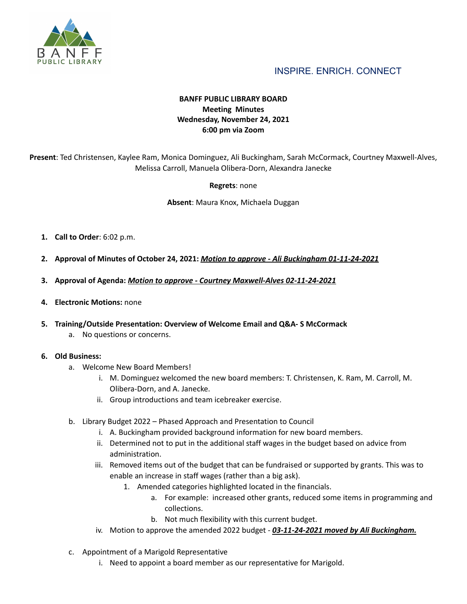

# INSPIRE. ENRICH. CONNECT

# **BANFF PUBLIC LIBRARY BOARD Meeting Minutes Wednesday, November 24, 2021 6:00 pm via Zoom**

**Present**: Ted Christensen, Kaylee Ram, Monica Dominguez, Ali Buckingham, Sarah McCormack, Courtney Maxwell-Alves, Melissa Carroll, Manuela Olibera-Dorn, Alexandra Janecke

### **Regrets**: none

**Absent**: Maura Knox, Michaela Duggan

- **1. Call to Order**: 6:02 p.m.
- **2. Approval of Minutes of October 24, 2021:** *Motion to approve - Ali Buckingham 01-11-24-2021*
- **3. Approval of Agenda:** *Motion to approve - Courtney Maxwell-Alves 02-11-24-2021*
- **4. Electronic Motions:** none
- **5. Training/Outside Presentation: Overview of Welcome Email and Q&A- S McCormack**
	- a. No questions or concerns.

#### **6. Old Business:**

- a. Welcome New Board Members!
	- i. M. Dominguez welcomed the new board members: T. Christensen, K. Ram, M. Carroll, M. Olibera-Dorn, and A. Janecke.
	- ii. Group introductions and team icebreaker exercise.
- b. Library Budget 2022 Phased Approach and Presentation to Council
	- i. A. Buckingham provided background information for new board members.
	- ii. Determined not to put in the additional staff wages in the budget based on advice from administration.
	- iii. Removed items out of the budget that can be fundraised or supported by grants. This was to enable an increase in staff wages (rather than a big ask).
		- 1. Amended categories highlighted located in the financials.
			- a. For example: increased other grants, reduced some items in programming and collections.
			- b. Not much flexibility with this current budget.
	- iv. Motion to approve the amended 2022 budget *03-11-24-2021 moved by Ali Buckingham.*
- c. Appointment of a Marigold Representative
	- i. Need to appoint a board member as our representative for Marigold.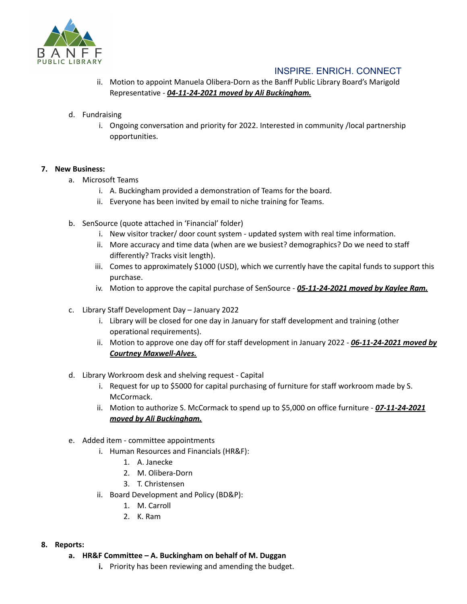

# INSPIRE. ENRICH. CONNECT

ii. Motion to appoint Manuela Olibera-Dorn as the Banff Public Library Board's Marigold Representative - *04-11-24-2021 moved by Ali Buckingham.*

## d. Fundraising

i. Ongoing conversation and priority for 2022. Interested in community /local partnership opportunities.

## **7. New Business:**

- a. Microsoft Teams
	- i. A. Buckingham provided a demonstration of Teams for the board.
	- ii. Everyone has been invited by email to niche training for Teams.
- b. SenSource (quote attached in 'Financial' folder)
	- i. New visitor tracker/ door count system updated system with real time information.
	- ii. More accuracy and time data (when are we busiest? demographics? Do we need to staff differently? Tracks visit length).
	- iii. Comes to approximately \$1000 (USD), which we currently have the capital funds to support this purchase.
	- iv. Motion to approve the capital purchase of SenSource *05-11-24-2021 moved by Kaylee Ram.*
- c. Library Staff Development Day January 2022
	- i. Library will be closed for one day in January for staff development and training (other operational requirements).
	- ii. Motion to approve one day off for staff development in January 2022 *06-11-24-2021 moved by Courtney Maxwell-Alves.*
- d. Library Workroom desk and shelving request Capital
	- i. Request for up to \$5000 for capital purchasing of furniture for staff workroom made by S. McCormack.
	- ii. Motion to authorize S. McCormack to spend up to \$5,000 on office furniture **07-11-24-2021** *moved by Ali Buckingham.*
- e. Added item committee appointments
	- i. Human Resources and Financials (HR&F):
		- 1. A. Janecke
		- 2. M. Olibera-Dorn
		- 3. T. Christensen
	- ii. Board Development and Policy (BD&P):
		- 1. M. Carroll
		- 2. K. Ram

## **8. Reports:**

- **a. HR&F Committee – A. Buckingham on behalf of M. Duggan**
	- **i.** Priority has been reviewing and amending the budget.